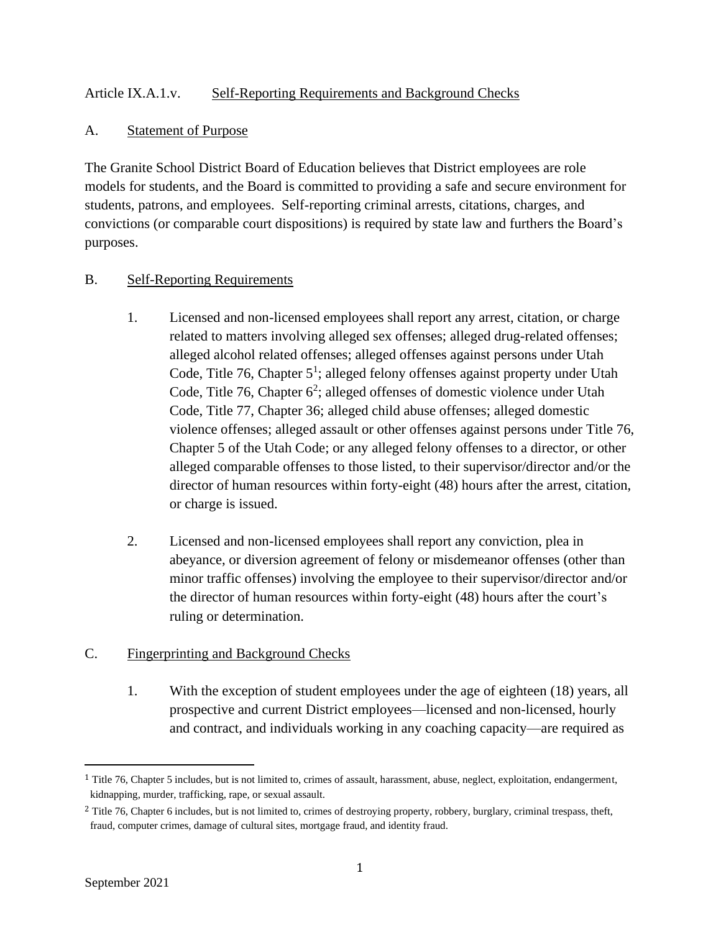# Article IX.A.1.v. Self-Reporting Requirements and Background Checks

#### A. Statement of Purpose

The Granite School District Board of Education believes that District employees are role models for students, and the Board is committed to providing a safe and secure environment for students, patrons, and employees. Self-reporting criminal arrests, citations, charges, and convictions (or comparable court dispositions) is required by state law and furthers the Board's purposes.

#### B. Self-Reporting Requirements

- 1. Licensed and non-licensed employees shall report any arrest, citation, or charge related to matters involving alleged sex offenses; alleged drug-related offenses; alleged alcohol related offenses; alleged offenses against persons under Utah Code, Title 76, Chapter 5<sup>1</sup>; alleged felony offenses against property under Utah Code, Title 76, Chapter 6<sup>2</sup>; alleged offenses of domestic violence under Utah Code, Title 77, Chapter 36; alleged child abuse offenses; alleged domestic violence offenses; alleged assault or other offenses against persons under Title 76, Chapter 5 of the Utah Code; or any alleged felony offenses to a director, or other alleged comparable offenses to those listed, to their supervisor/director and/or the director of human resources within forty-eight (48) hours after the arrest, citation, or charge is issued.
- 2. Licensed and non-licensed employees shall report any conviction, plea in abeyance, or diversion agreement of felony or misdemeanor offenses (other than minor traffic offenses) involving the employee to their supervisor/director and/or the director of human resources within forty-eight (48) hours after the court's ruling or determination.

# C. Fingerprinting and Background Checks

1. With the exception of student employees under the age of eighteen (18) years, all prospective and current District employees—licensed and non-licensed, hourly and contract, and individuals working in any coaching capacity—are required as

 $1$  Title 76, Chapter 5 includes, but is not limited to, crimes of assault, harassment, abuse, neglect, exploitation, endangerment, kidnapping, murder, trafficking, rape, or sexual assault.

<sup>&</sup>lt;sup>2</sup> Title 76, Chapter 6 includes, but is not limited to, crimes of destroying property, robbery, burglary, criminal trespass, theft, fraud, computer crimes, damage of cultural sites, mortgage fraud, and identity fraud.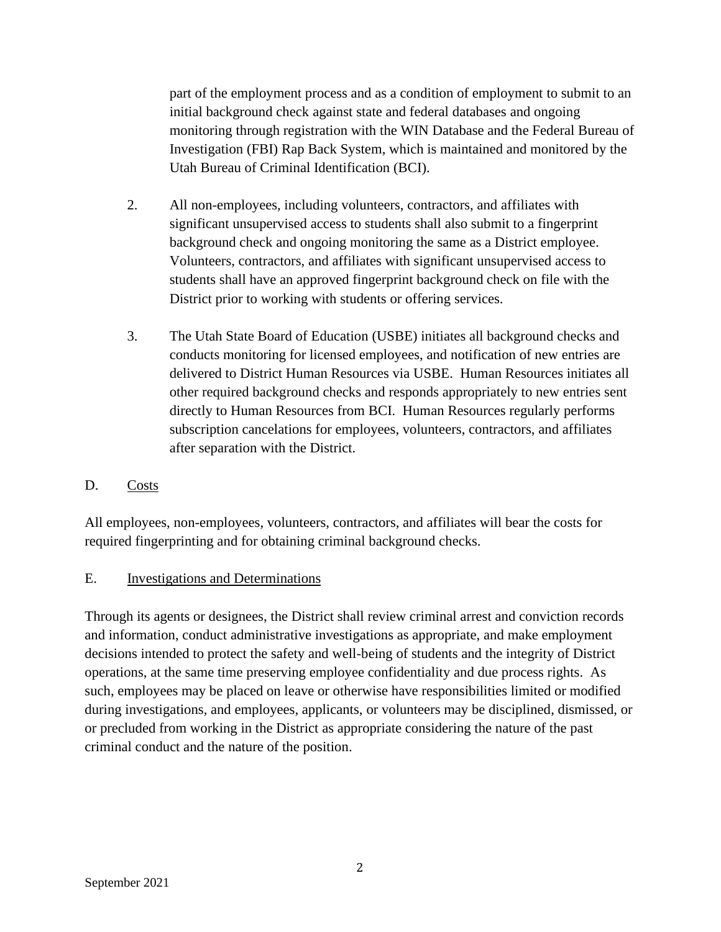part of the employment process and as a condition of employment to submit to an initial background check against state and federal databases and ongoing monitoring through registration with the WIN Database and the Federal Bureau of Investigation (FBI) Rap Back System, which is maintained and monitored by the Utah Bureau of Criminal Identification (BCI).

- 2. All non-employees, including volunteers, contractors, and affiliates with significant unsupervised access to students shall also submit to a fingerprint background check and ongoing monitoring the same as a District employee. Volunteers, contractors, and affiliates with significant unsupervised access to students shall have an approved fingerprint background check on file with the District prior to working with students or offering services.
- 3. The Utah State Board of Education (USBE) initiates all background checks and conducts monitoring for licensed employees, and notification of new entries are delivered to District Human Resources via USBE. Human Resources initiates all other required background checks and responds appropriately to new entries sent directly to Human Resources from BCI. Human Resources regularly performs subscription cancelations for employees, volunteers, contractors, and affiliates after separation with the District.
- D. Costs

All employees, non-employees, volunteers, contractors, and affiliates will bear the costs for required fingerprinting and for obtaining criminal background checks.

# E. Investigations and Determinations

Through its agents or designees, the District shall review criminal arrest and conviction records and information, conduct administrative investigations as appropriate, and make employment decisions intended to protect the safety and well-being of students and the integrity of District operations, at the same time preserving employee confidentiality and due process rights. As such, employees may be placed on leave or otherwise have responsibilities limited or modified during investigations, and employees, applicants, or volunteers may be disciplined, dismissed, or or precluded from working in the District as appropriate considering the nature of the past criminal conduct and the nature of the position.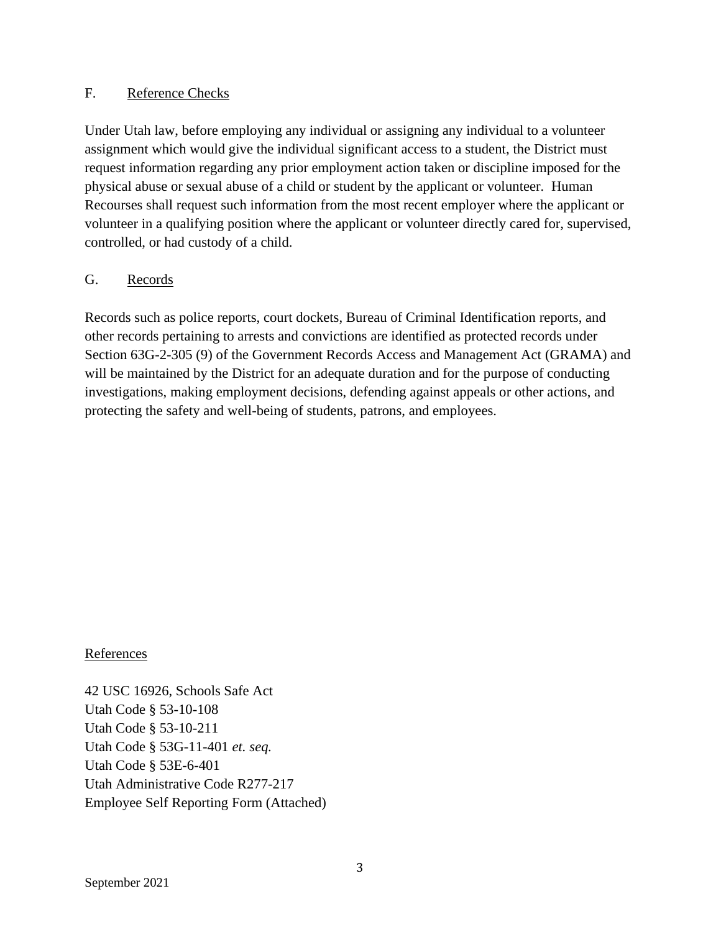# F. Reference Checks

Under Utah law, before employing any individual or assigning any individual to a volunteer assignment which would give the individual significant access to a student, the District must request information regarding any prior employment action taken or discipline imposed for the physical abuse or sexual abuse of a child or student by the applicant or volunteer. Human Recourses shall request such information from the most recent employer where the applicant or volunteer in a qualifying position where the applicant or volunteer directly cared for, supervised, controlled, or had custody of a child.

#### G. Records

Records such as police reports, court dockets, Bureau of Criminal Identification reports, and other records pertaining to arrests and convictions are identified as protected records under Section 63G-2-305 (9) of the Government Records Access and Management Act (GRAMA) and will be maintained by the District for an adequate duration and for the purpose of conducting investigations, making employment decisions, defending against appeals or other actions, and protecting the safety and well-being of students, patrons, and employees.

#### **References**

42 USC 16926, Schools Safe Act Utah Code § 53-10-108 Utah Code § 53-10-211 Utah Code § 53G-11-401 *et. seq.* Utah Code § 53E-6-401 Utah Administrative Code R277-217 Employee Self Reporting Form (Attached)